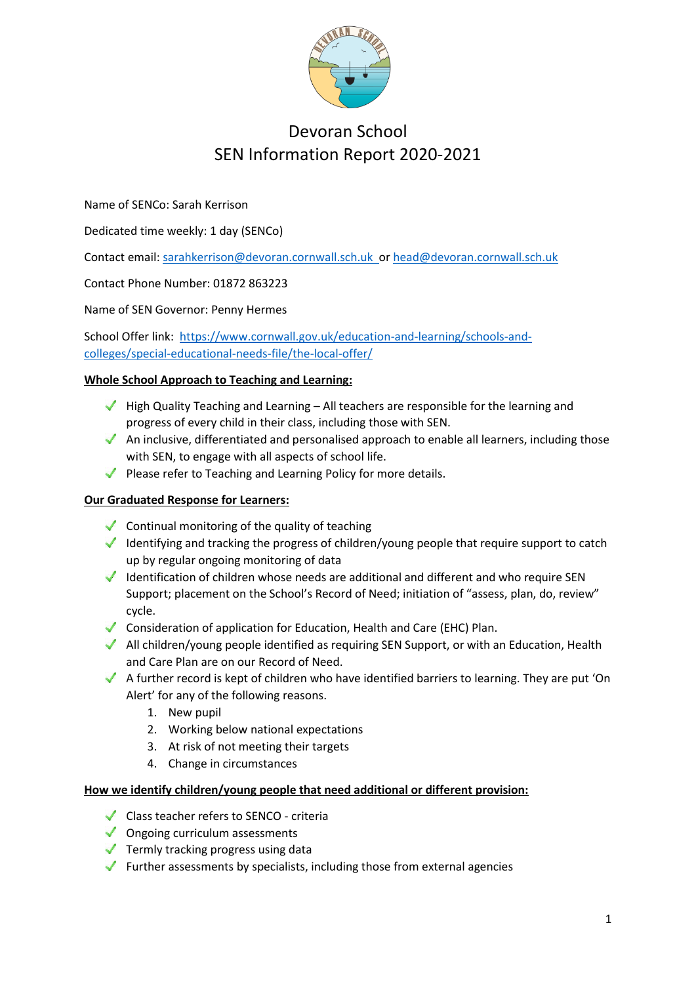

Name of SENCo: Sarah Kerrison

Dedicated time weekly: 1 day (SENCo)

Contact email: [sarahkerrison@devoran.cornwall.sch.uk](mailto:sarahkerrison@devoran.cornwall.sch.uk) or [head@devoran.cornwall.sch.uk](mailto:head@devoran.cornwall.sch.uk)

#### Contact Phone Number: 01872 863223

Name of SEN Governor: Penny Hermes

School Offer link: [https://www.cornwall.gov.uk/education-and-learning/schools-and](https://www.cornwall.gov.uk/education-and-learning/schools-and-colleges/special-educational-needs-file/the-local-offer/)[colleges/special-educational-needs-file/the-local-offer/](https://www.cornwall.gov.uk/education-and-learning/schools-and-colleges/special-educational-needs-file/the-local-offer/)

#### **Whole School Approach to Teaching and Learning:**

- $\blacktriangleright$  High Quality Teaching and Learning All teachers are responsible for the learning and progress of every child in their class, including those with SEN.
- An inclusive, differentiated and personalised approach to enable all learners, including those with SEN, to engage with all aspects of school life.
- $\blacktriangleright$  Please refer to Teaching and Learning Policy for more details.

#### **Our Graduated Response for Learners:**

- $\triangleleft$  Continual monitoring of the quality of teaching
- Identifying and tracking the progress of children/young people that require support to catch up by regular ongoing monitoring of data
- Identification of children whose needs are additional and different and who require SEN Support; placement on the School's Record of Need; initiation of "assess, plan, do, review" cycle.
- Consideration of application for Education, Health and Care (EHC) Plan.
- All children/young people identified as requiring SEN Support, or with an Education, Health and Care Plan are on our Record of Need.
- $\blacktriangleright$  A further record is kept of children who have identified barriers to learning. They are put 'On Alert' for any of the following reasons.
	- 1. New pupil
	- 2. Working below national expectations
	- 3. At risk of not meeting their targets
	- 4. Change in circumstances

#### **How we identify children/young people that need additional or different provision:**

- Class teacher refers to SENCO criteria
- ◆ Ongoing curriculum assessments
- $\blacktriangledown$  Termly tracking progress using data
- Further assessments by specialists, including those from external agencies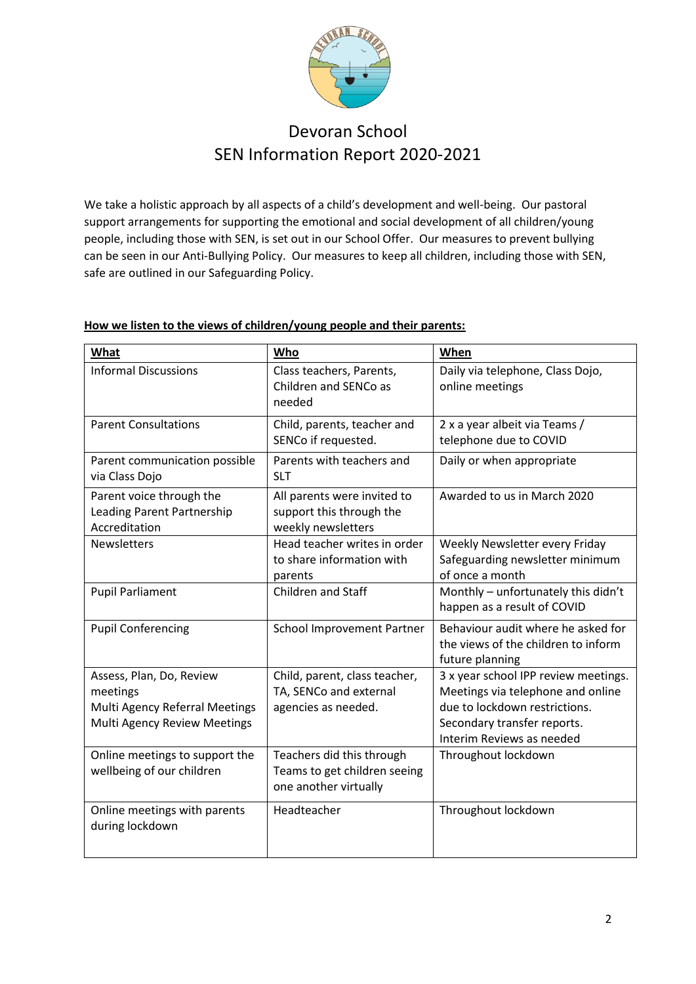

We take a holistic approach by all aspects of a child's development and well-being. Our pastoral support arrangements for supporting the emotional and social development of all children/young people, including those with SEN, is set out in our School Offer. Our measures to prevent bullying can be seen in our Anti-Bullying Policy. Our measures to keep all children, including those with SEN, safe are outlined in our Safeguarding Policy.

| What                                                                                                   | Who                                                                                | When                                                                                                                                                                   |
|--------------------------------------------------------------------------------------------------------|------------------------------------------------------------------------------------|------------------------------------------------------------------------------------------------------------------------------------------------------------------------|
| <b>Informal Discussions</b>                                                                            | Class teachers, Parents,<br>Children and SENCo as<br>needed                        | Daily via telephone, Class Dojo,<br>online meetings                                                                                                                    |
| <b>Parent Consultations</b>                                                                            | Child, parents, teacher and<br>SENCo if requested.                                 | 2 x a year albeit via Teams /<br>telephone due to COVID                                                                                                                |
| Parent communication possible<br>via Class Dojo                                                        | Parents with teachers and<br><b>SLT</b>                                            | Daily or when appropriate                                                                                                                                              |
| Parent voice through the<br>Leading Parent Partnership<br>Accreditation                                | All parents were invited to<br>support this through the<br>weekly newsletters      | Awarded to us in March 2020                                                                                                                                            |
| <b>Newsletters</b>                                                                                     | Head teacher writes in order<br>to share information with<br>parents               | Weekly Newsletter every Friday<br>Safeguarding newsletter minimum<br>of once a month                                                                                   |
| <b>Pupil Parliament</b>                                                                                | <b>Children and Staff</b>                                                          | Monthly - unfortunately this didn't<br>happen as a result of COVID                                                                                                     |
| <b>Pupil Conferencing</b>                                                                              | <b>School Improvement Partner</b>                                                  | Behaviour audit where he asked for<br>the views of the children to inform<br>future planning                                                                           |
| Assess, Plan, Do, Review<br>meetings<br>Multi Agency Referral Meetings<br>Multi Agency Review Meetings | Child, parent, class teacher,<br>TA, SENCo and external<br>agencies as needed.     | 3 x year school IPP review meetings.<br>Meetings via telephone and online<br>due to lockdown restrictions.<br>Secondary transfer reports.<br>Interim Reviews as needed |
| Online meetings to support the<br>wellbeing of our children                                            | Teachers did this through<br>Teams to get children seeing<br>one another virtually | Throughout lockdown                                                                                                                                                    |
| Online meetings with parents<br>during lockdown                                                        | Headteacher                                                                        | Throughout lockdown                                                                                                                                                    |

#### **How we listen to the views of children/young people and their parents:**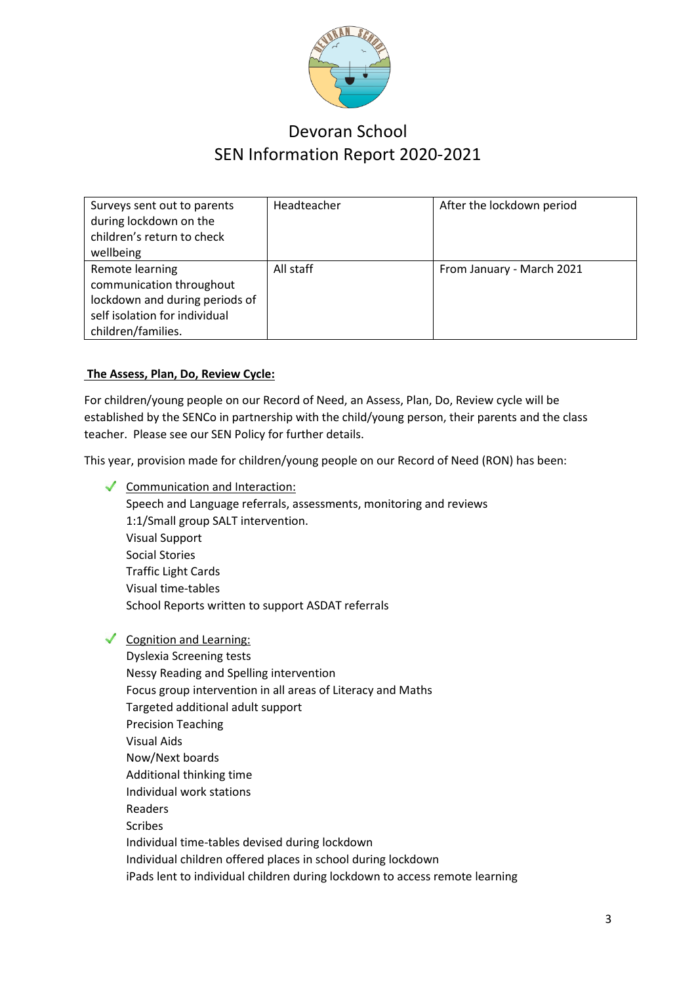

| Surveys sent out to parents<br>during lockdown on the<br>children's return to check<br>wellbeing                                     | Headteacher | After the lockdown period |
|--------------------------------------------------------------------------------------------------------------------------------------|-------------|---------------------------|
| Remote learning<br>communication throughout<br>lockdown and during periods of<br>self isolation for individual<br>children/families. | All staff   | From January - March 2021 |

### **The Assess, Plan, Do, Review Cycle:**

For children/young people on our Record of Need, an Assess, Plan, Do, Review cycle will be established by the SENCo in partnership with the child/young person, their parents and the class teacher. Please see our SEN Policy for further details.

This year, provision made for children/young people on our Record of Need (RON) has been:

Communication and Interaction: Speech and Language referrals, assessments, monitoring and reviews 1:1/Small group SALT intervention. Visual Support Social Stories Traffic Light Cards Visual time-tables School Reports written to support ASDAT referrals

Cognition and Learning: Dyslexia Screening tests Nessy Reading and Spelling intervention Focus group intervention in all areas of Literacy and Maths Targeted additional adult support Precision Teaching Visual Aids Now/Next boards Additional thinking time Individual work stations Readers Scribes Individual time-tables devised during lockdown Individual children offered places in school during lockdown iPads lent to individual children during lockdown to access remote learning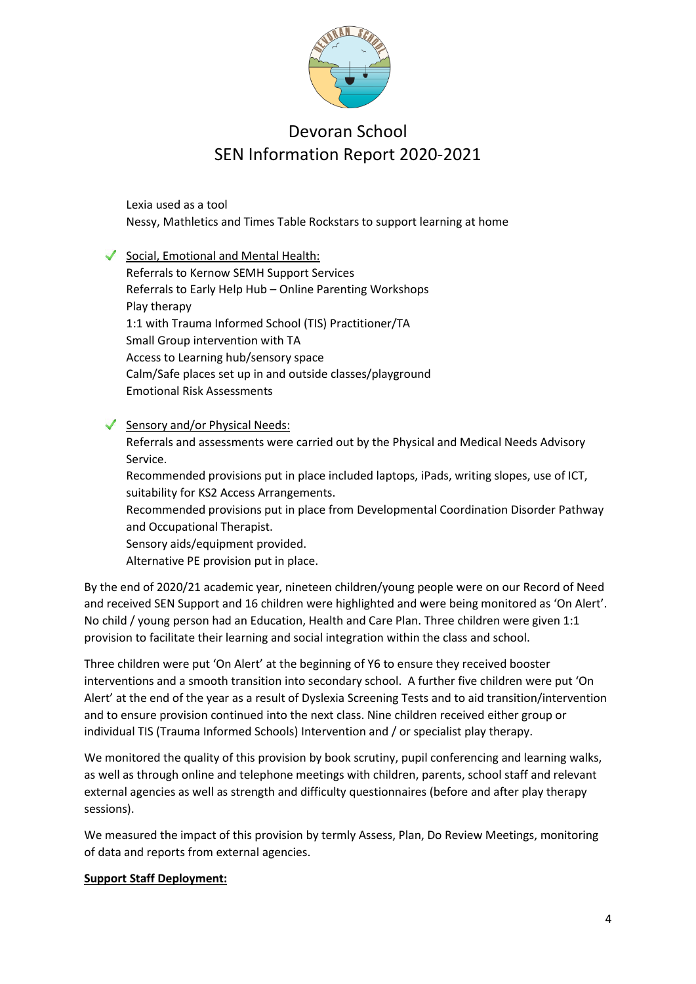

Lexia used as a tool Nessy, Mathletics and Times Table Rockstars to support learning at home

Social, Emotional and Mental Health: Referrals to Kernow SEMH Support Services Referrals to Early Help Hub – Online Parenting Workshops Play therapy 1:1 with Trauma Informed School (TIS) Practitioner/TA Small Group intervention with TA Access to Learning hub/sensory space Calm/Safe places set up in and outside classes/playground Emotional Risk Assessments

Sensory and/or Physical Needs: Referrals and assessments were carried out by the Physical and Medical Needs Advisory Service. Recommended provisions put in place included laptops, iPads, writing slopes, use of ICT, suitability for KS2 Access Arrangements. Recommended provisions put in place from Developmental Coordination Disorder Pathway and Occupational Therapist.

Sensory aids/equipment provided.

Alternative PE provision put in place.

By the end of 2020/21 academic year, nineteen children/young people were on our Record of Need and received SEN Support and 16 children were highlighted and were being monitored as 'On Alert'. No child / young person had an Education, Health and Care Plan. Three children were given 1:1 provision to facilitate their learning and social integration within the class and school.

Three children were put 'On Alert' at the beginning of Y6 to ensure they received booster interventions and a smooth transition into secondary school. A further five children were put 'On Alert' at the end of the year as a result of Dyslexia Screening Tests and to aid transition/intervention and to ensure provision continued into the next class. Nine children received either group or individual TIS (Trauma Informed Schools) Intervention and / or specialist play therapy.

We monitored the quality of this provision by book scrutiny, pupil conferencing and learning walks, as well as through online and telephone meetings with children, parents, school staff and relevant external agencies as well as strength and difficulty questionnaires (before and after play therapy sessions).

We measured the impact of this provision by termly Assess, Plan, Do Review Meetings, monitoring of data and reports from external agencies.

### **Support Staff Deployment:**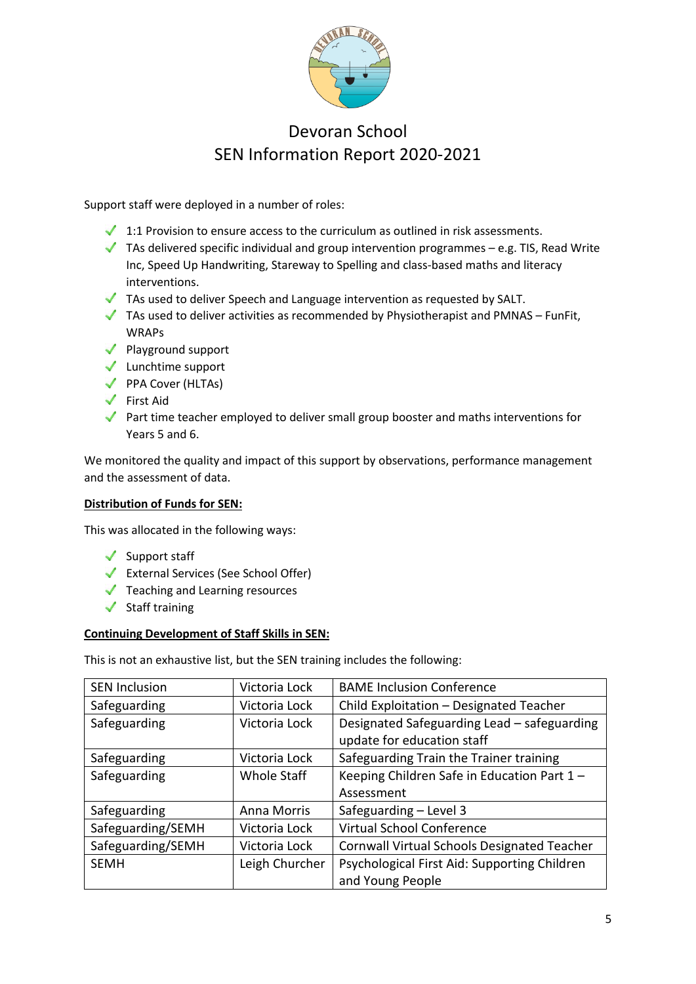

Support staff were deployed in a number of roles:

- $\blacktriangleright$  1:1 Provision to ensure access to the curriculum as outlined in risk assessments.
- $\blacktriangleright$  TAs delivered specific individual and group intervention programmes e.g. TIS, Read Write Inc, Speed Up Handwriting, Stareway to Spelling and class-based maths and literacy interventions.
- TAs used to deliver Speech and Language intervention as requested by SALT.
- $\blacktriangledown$  TAs used to deliver activities as recommended by Physiotherapist and PMNAS FunFit, WRAPs
- $\blacktriangledown$  Playground support
- Lunchtime support
- PPA Cover (HLTAs)
- First Aid
- Part time teacher employed to deliver small group booster and maths interventions for Years 5 and 6.

We monitored the quality and impact of this support by observations, performance management and the assessment of data.

### **Distribution of Funds for SEN:**

This was allocated in the following ways:

- $\checkmark$  Support staff
- External Services (See School Offer)
- Teaching and Learning resources
- $\checkmark$  Staff training

### **Continuing Development of Staff Skills in SEN:**

This is not an exhaustive list, but the SEN training includes the following:

| <b>SEN Inclusion</b> | Victoria Lock  | <b>BAME Inclusion Conference</b>                                          |
|----------------------|----------------|---------------------------------------------------------------------------|
| Safeguarding         | Victoria Lock  | Child Exploitation - Designated Teacher                                   |
| Safeguarding         | Victoria Lock  | Designated Safeguarding Lead - safeguarding<br>update for education staff |
| Safeguarding         | Victoria Lock  | Safeguarding Train the Trainer training                                   |
| Safeguarding         | Whole Staff    | Keeping Children Safe in Education Part 1 -                               |
|                      |                | Assessment                                                                |
| Safeguarding         | Anna Morris    | Safeguarding - Level 3                                                    |
| Safeguarding/SEMH    | Victoria Lock  | <b>Virtual School Conference</b>                                          |
| Safeguarding/SEMH    | Victoria Lock  | <b>Cornwall Virtual Schools Designated Teacher</b>                        |
| <b>SEMH</b>          | Leigh Churcher | Psychological First Aid: Supporting Children                              |
|                      |                | and Young People                                                          |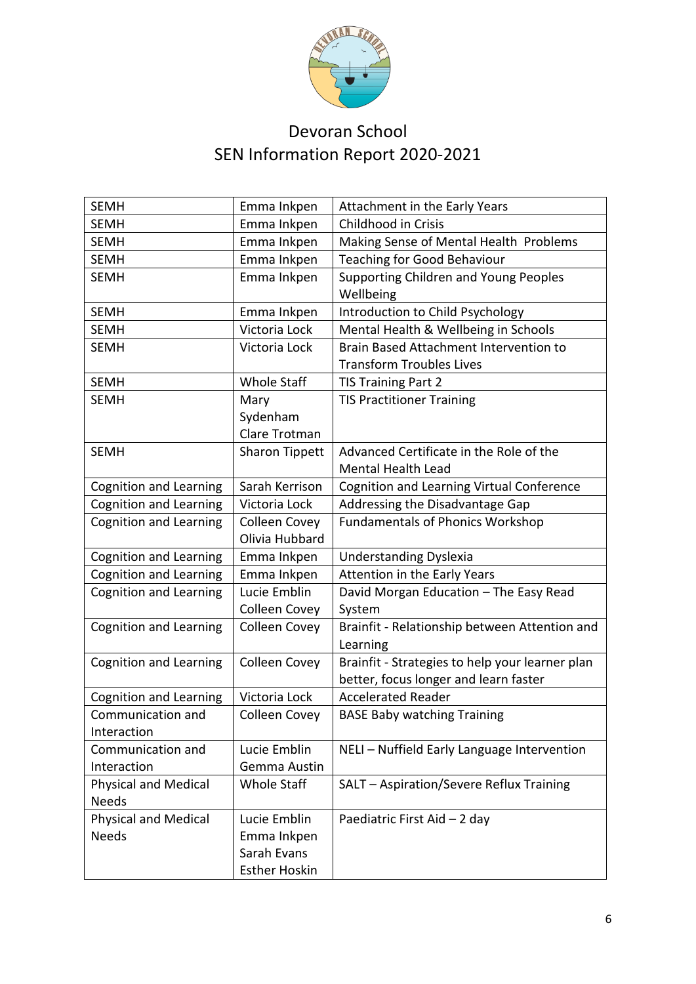

| <b>SEMH</b>                   | Emma Inkpen           | Attachment in the Early Years                   |
|-------------------------------|-----------------------|-------------------------------------------------|
| <b>SEMH</b>                   | Emma Inkpen           | Childhood in Crisis                             |
| <b>SEMH</b>                   | Emma Inkpen           | Making Sense of Mental Health Problems          |
| <b>SEMH</b>                   | Emma Inkpen           | <b>Teaching for Good Behaviour</b>              |
| <b>SEMH</b>                   | Emma Inkpen           | <b>Supporting Children and Young Peoples</b>    |
|                               |                       | Wellbeing                                       |
| <b>SEMH</b>                   | Emma Inkpen           | Introduction to Child Psychology                |
| <b>SEMH</b>                   | Victoria Lock         | Mental Health & Wellbeing in Schools            |
| <b>SEMH</b>                   | Victoria Lock         | <b>Brain Based Attachment Intervention to</b>   |
|                               |                       | <b>Transform Troubles Lives</b>                 |
| <b>SEMH</b>                   | <b>Whole Staff</b>    | TIS Training Part 2                             |
| <b>SEMH</b>                   | Mary                  | <b>TIS Practitioner Training</b>                |
|                               | Sydenham              |                                                 |
|                               | Clare Trotman         |                                                 |
| <b>SEMH</b>                   | <b>Sharon Tippett</b> | Advanced Certificate in the Role of the         |
|                               |                       | <b>Mental Health Lead</b>                       |
| <b>Cognition and Learning</b> | Sarah Kerrison        | Cognition and Learning Virtual Conference       |
| <b>Cognition and Learning</b> | Victoria Lock         | Addressing the Disadvantage Gap                 |
| <b>Cognition and Learning</b> | <b>Colleen Covey</b>  | <b>Fundamentals of Phonics Workshop</b>         |
|                               | Olivia Hubbard        |                                                 |
| <b>Cognition and Learning</b> | Emma Inkpen           | <b>Understanding Dyslexia</b>                   |
| <b>Cognition and Learning</b> | Emma Inkpen           | Attention in the Early Years                    |
| Cognition and Learning        | Lucie Emblin          | David Morgan Education - The Easy Read          |
|                               | Colleen Covey         | System                                          |
| <b>Cognition and Learning</b> | <b>Colleen Covey</b>  | Brainfit - Relationship between Attention and   |
|                               |                       | Learning                                        |
| <b>Cognition and Learning</b> | <b>Colleen Covey</b>  | Brainfit - Strategies to help your learner plan |
|                               |                       | better, focus longer and learn faster           |
| <b>Cognition and Learning</b> | Victoria Lock         | <b>Accelerated Reader</b>                       |
| Communication and             | <b>Colleen Covey</b>  | <b>BASE Baby watching Training</b>              |
| Interaction                   |                       |                                                 |
| Communication and             | Lucie Emblin          | NELI - Nuffield Early Language Intervention     |
| Interaction                   | Gemma Austin          |                                                 |
| <b>Physical and Medical</b>   | Whole Staff           | SALT - Aspiration/Severe Reflux Training        |
| <b>Needs</b>                  |                       |                                                 |
| <b>Physical and Medical</b>   | Lucie Emblin          | Paediatric First Aid - 2 day                    |
| <b>Needs</b>                  | Emma Inkpen           |                                                 |
|                               | Sarah Evans           |                                                 |
|                               | <b>Esther Hoskin</b>  |                                                 |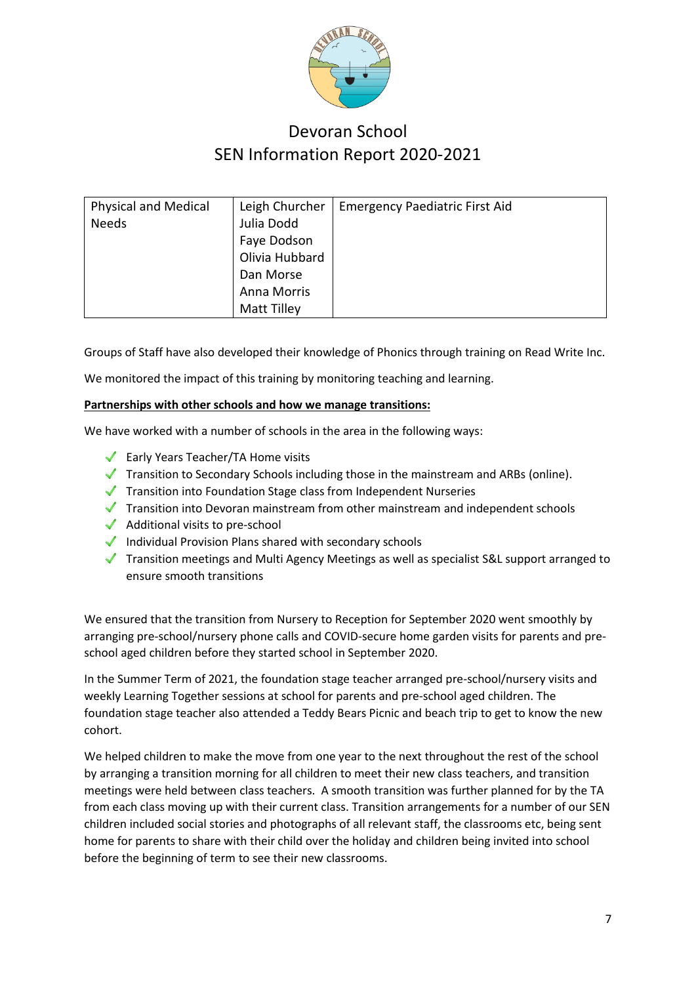

| <b>Physical and Medical</b> | Leigh Churcher | <b>Emergency Paediatric First Aid</b> |
|-----------------------------|----------------|---------------------------------------|
| <b>Needs</b>                | Julia Dodd     |                                       |
|                             | Faye Dodson    |                                       |
|                             | Olivia Hubbard |                                       |
|                             | Dan Morse      |                                       |
|                             | Anna Morris    |                                       |
|                             | Matt Tilley    |                                       |

Groups of Staff have also developed their knowledge of Phonics through training on Read Write Inc.

We monitored the impact of this training by monitoring teaching and learning.

### **Partnerships with other schools and how we manage transitions:**

We have worked with a number of schools in the area in the following ways:

- Early Years Teacher/TA Home visits
- $\blacktriangledown$  Transition to Secondary Schools including those in the mainstream and ARBs (online).
- $\blacktriangleright$  Transition into Foundation Stage class from Independent Nurseries
- $\blacktriangledown$  Transition into Devoran mainstream from other mainstream and independent schools
- $\blacklozenge$  Additional visits to pre-school
- Individual Provision Plans shared with secondary schools
- Transition meetings and Multi Agency Meetings as well as specialist S&L support arranged to ensure smooth transitions

We ensured that the transition from Nursery to Reception for September 2020 went smoothly by arranging pre-school/nursery phone calls and COVID-secure home garden visits for parents and preschool aged children before they started school in September 2020.

In the Summer Term of 2021, the foundation stage teacher arranged pre-school/nursery visits and weekly Learning Together sessions at school for parents and pre-school aged children. The foundation stage teacher also attended a Teddy Bears Picnic and beach trip to get to know the new cohort.

We helped children to make the move from one year to the next throughout the rest of the school by arranging a transition morning for all children to meet their new class teachers, and transition meetings were held between class teachers. A smooth transition was further planned for by the TA from each class moving up with their current class. Transition arrangements for a number of our SEN children included social stories and photographs of all relevant staff, the classrooms etc, being sent home for parents to share with their child over the holiday and children being invited into school before the beginning of term to see their new classrooms.